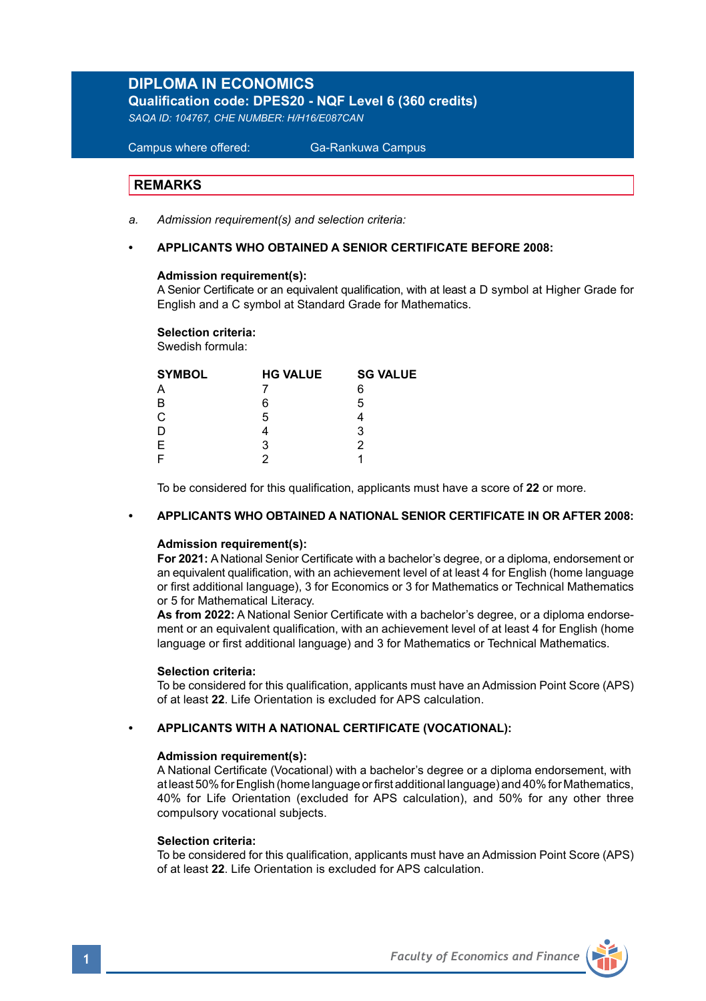# **DIPLOMA IN ECONOMICS**

**Qualification code: DPES20 - NQF Level 6 (360 credits)** 

*SAQA ID: 104767, CHE NUMBER: H/H16/E087CAN* 

 Campus where offered: Ga-Rankuwa Campus

## **REMARKS**

*a. Admission requirement(s) and selection criteria:* 

## **• APPLICANTS WHO OBTAINED A SENIOR CERTIFICATE BEFORE 2008:**

#### **Admission requirement(s):**

A Senior Certificate or an equivalent qualification, with at least a D symbol at Higher Grade for English and a C symbol at Standard Grade for Mathematics.

#### **Selection criteria:**

Swedish formula:

| <b>SYMBOL</b> | <b>HG VALUE</b> | <b>SG VALUE</b> |  |
|---------------|-----------------|-----------------|--|
| Α             |                 | 6               |  |
| B             | 6               | 5               |  |
| $\mathbf C$   | 5               |                 |  |
| D             |                 | 3               |  |
| Ε             | 3               | 2               |  |
| F             |                 |                 |  |
|               |                 |                 |  |

To be considered for this qualification, applicants must have a score of **22** or more.

## **• APPLICANTS WHO OBTAINED A NATIONAL SENIOR CERTIFICATE IN OR AFTER 2008:**

### **Admission requirement(s):**

**For 2021:** A National Senior Certificate with a bachelor's degree, or a diploma, endorsement or an equivalent qualification, with an achievement level of at least 4 for English (home language or first additional language), 3 for Economics or 3 for Mathematics or Technical Mathematics or 5 for Mathematical Literacy.

**As from 2022:** A National Senior Certificate with a bachelor's degree, or a diploma endorsement or an equivalent qualification, with an achievement level of at least 4 for English (home language or first additional language) and 3 for Mathematics or Technical Mathematics.

#### **Selection criteria:**

To be considered for this qualification, applicants must have an Admission Point Score (APS) of at least **22**. Life Orientation is excluded for APS calculation.

#### **• APPLICANTS WITH A NATIONAL CERTIFICATE (VOCATIONAL):**

#### **Admission requirement(s):**

A National Certificate (Vocational) with a bachelor's degree or a diploma endorsement, with at least 50% for English (home language or first additional language) and 40% for Mathematics, 40% for Life Orientation (excluded for APS calculation), and 50% for any other three compulsory vocational subjects.

#### **Selection criteria:**

To be considered for this qualification, applicants must have an Admission Point Score (APS) of at least **22**. Life Orientation is excluded for APS calculation.

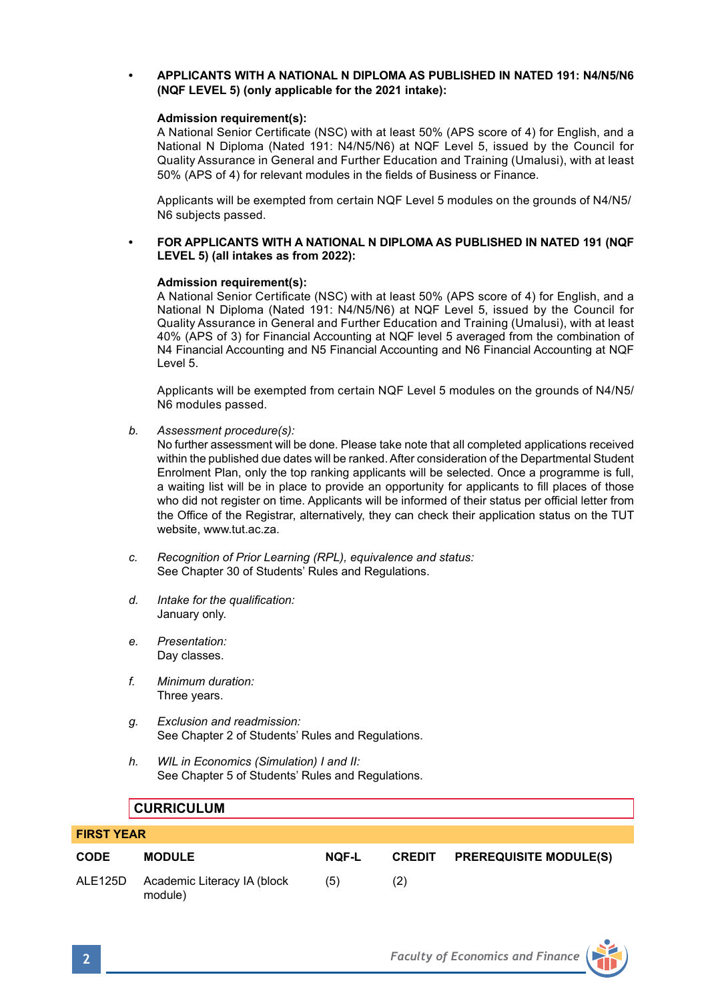## **• APPLICANTS WITH A NATIONAL N DIPLOMA AS PUBLISHED IN NATED 191: N4/N5/N6 (NQF LEVEL 5) (only applicable for the 2021 intake):**

#### **Admission requirement(s):**

A National Senior Certificate (NSC) with at least 50% (APS score of 4) for English, and a National N Diploma (Nated 191: N4/N5/N6) at NQF Level 5, issued by the Council for Quality Assurance in General and Further Education and Training (Umalusi), with at least 50% (APS of 4) for relevant modules in the fields of Business or Finance.

Applicants will be exempted from certain NQF Level 5 modules on the grounds of N4/N5/ N6 subjects passed.

### **• FOR APPLICANTS WITH A NATIONAL N DIPLOMA AS PUBLISHED IN NATED 191 (NQF LEVEL 5) (all intakes as from 2022):**

#### **Admission requirement(s):**

A National Senior Certificate (NSC) with at least 50% (APS score of 4) for English, and a National N Diploma (Nated 191: N4/N5/N6) at NQF Level 5, issued by the Council for Quality Assurance in General and Further Education and Training (Umalusi), with at least 40% (APS of 3) for Financial Accounting at NQF level 5 averaged from the combination of N4 Financial Accounting and N5 Financial Accounting and N6 Financial Accounting at NQF Level 5.

Applicants will be exempted from certain NQF Level 5 modules on the grounds of N4/N5/ N6 modules passed.

*b. Assessment procedure(s):*

No further assessment will be done. Please take note that all completed applications received within the published due dates will be ranked. After consideration of the Departmental Student Enrolment Plan, only the top ranking applicants will be selected. Once a programme is full, a waiting list will be in place to provide an opportunity for applicants to fill places of those who did not register on time. Applicants will be informed of their status per official letter from the Office of the Registrar, alternatively, they can check their application status on the TUT website, www.tut.ac.za.

- *c. Recognition of Prior Learning (RPL), equivalence and status:* See Chapter 30 of Students' Rules and Regulations.
- *d. Intake for the qualification:* January only.
- *e. Presentation:* Day classes.
- *f. Minimum duration:* Three years.
- *g. Exclusion and readmission:* See Chapter 2 of Students' Rules and Regulations.
- *h. WIL in Economics (Simulation) I and II:* See Chapter 5 of Students' Rules and Regulations.

## **CURRICULUM**

| <b>FIRST YEAR</b> |                                                |       |     |                                      |  |  |
|-------------------|------------------------------------------------|-------|-----|--------------------------------------|--|--|
| <b>CODE</b>       | <b>MODULE</b>                                  | NOF-L |     | <b>CREDIT PREREQUISITE MODULE(S)</b> |  |  |
|                   | ALE125D Academic Literacy IA (block<br>module) | (5)   | (2) |                                      |  |  |

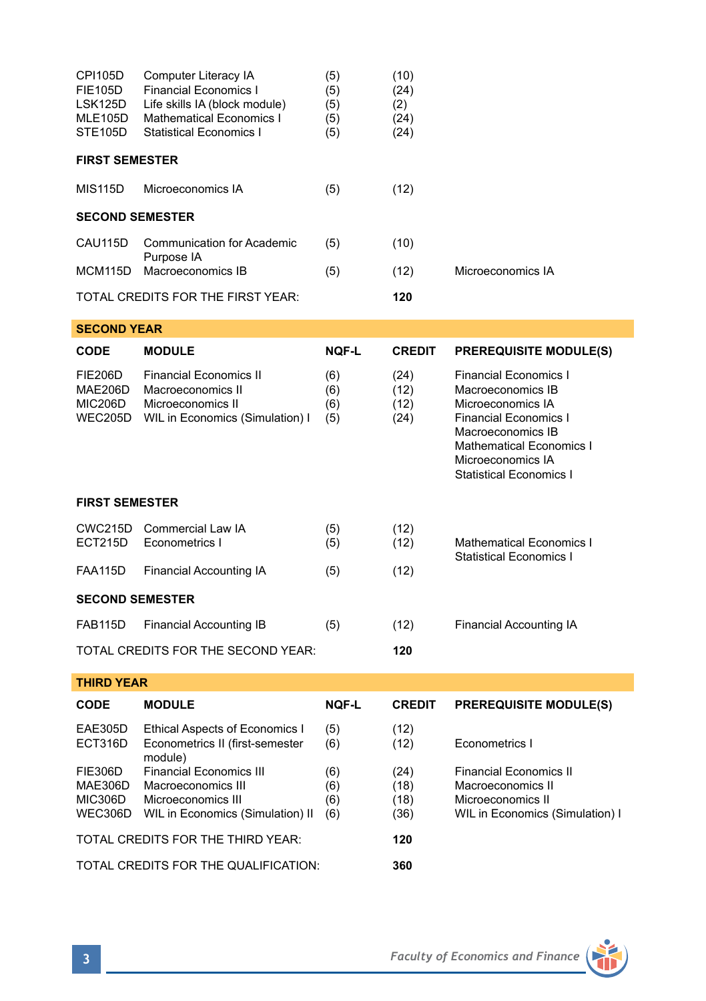| CPI105D<br>FIE105D<br>LSK125D<br>MLE105D<br>STE105D    | Computer Literacy IA<br><b>Financial Economics I</b><br>Life skills IA (block module)<br><b>Mathematical Economics I</b><br><b>Statistical Economics I</b> | (5)<br>(5)<br>(5)<br>(5)<br>(5) | (10)<br>(24)<br>(2)<br>(24)<br>(24) |                                                                                                                                                                                                                       |  |  |  |
|--------------------------------------------------------|------------------------------------------------------------------------------------------------------------------------------------------------------------|---------------------------------|-------------------------------------|-----------------------------------------------------------------------------------------------------------------------------------------------------------------------------------------------------------------------|--|--|--|
| <b>FIRST SEMESTER</b>                                  |                                                                                                                                                            |                                 |                                     |                                                                                                                                                                                                                       |  |  |  |
| MIS115D                                                | Microeconomics IA                                                                                                                                          | (5)                             | (12)                                |                                                                                                                                                                                                                       |  |  |  |
| <b>SECOND SEMESTER</b>                                 |                                                                                                                                                            |                                 |                                     |                                                                                                                                                                                                                       |  |  |  |
| CAU115D                                                | <b>Communication for Academic</b><br>Purpose IA                                                                                                            | (5)                             | (10)                                |                                                                                                                                                                                                                       |  |  |  |
| MCM115D                                                | Macroeconomics IB                                                                                                                                          | (5)                             | (12)                                | Microeconomics IA                                                                                                                                                                                                     |  |  |  |
|                                                        | TOTAL CREDITS FOR THE FIRST YEAR:                                                                                                                          |                                 | 120                                 |                                                                                                                                                                                                                       |  |  |  |
| <b>SECOND YEAR</b>                                     |                                                                                                                                                            |                                 |                                     |                                                                                                                                                                                                                       |  |  |  |
| <b>CODE</b>                                            | <b>MODULE</b>                                                                                                                                              | <b>NQF-L</b>                    | <b>CREDIT</b>                       | <b>PREREQUISITE MODULE(S)</b>                                                                                                                                                                                         |  |  |  |
| <b>FIE206D</b><br><b>MAE206D</b><br>MIC206D<br>WEC205D | <b>Financial Economics II</b><br>Macroeconomics II<br>Microeconomics II<br>WIL in Economics (Simulation) I                                                 | (6)<br>(6)<br>(6)<br>(5)        | (24)<br>(12)<br>(12)<br>(24)        | <b>Financial Economics I</b><br>Macroeconomics IB<br>Microeconomics IA<br><b>Financial Economics I</b><br>Macroeconomics IB<br><b>Mathematical Economics I</b><br>Microeconomics IA<br><b>Statistical Economics I</b> |  |  |  |
| <b>FIRST SEMESTER</b>                                  |                                                                                                                                                            |                                 |                                     |                                                                                                                                                                                                                       |  |  |  |
| CWC215D<br>ECT215D                                     | Commercial Law IA<br>Econometrics I                                                                                                                        | (5)<br>(5)                      | (12)<br>(12)                        | Mathematical Economics I<br><b>Statistical Economics I</b>                                                                                                                                                            |  |  |  |
| <b>FAA115D</b>                                         | <b>Financial Accounting IA</b>                                                                                                                             | (5)                             | (12)                                |                                                                                                                                                                                                                       |  |  |  |
| <b>SECOND SEMESTER</b>                                 |                                                                                                                                                            |                                 |                                     |                                                                                                                                                                                                                       |  |  |  |
| FAB115D                                                | <b>Financial Accounting IB</b>                                                                                                                             | (5)                             | (12)                                | <b>Financial Accounting IA</b>                                                                                                                                                                                        |  |  |  |
|                                                        | TOTAL CREDITS FOR THE SECOND YEAR:                                                                                                                         |                                 | 120                                 |                                                                                                                                                                                                                       |  |  |  |
| <b>THIRD YEAR</b>                                      |                                                                                                                                                            |                                 |                                     |                                                                                                                                                                                                                       |  |  |  |
| CODE                                                   | <b>MODULE</b>                                                                                                                                              | <b>NQF-L</b>                    | <b>CREDIT</b>                       | <b>PREREQUISITE MODULE(S)</b>                                                                                                                                                                                         |  |  |  |
| EAE305D<br>ECT316D                                     | Ethical Aspects of Economics I<br>Econometrics II (first-semester<br>module)                                                                               | (5)<br>(6)                      | (12)<br>(12)                        | Econometrics I                                                                                                                                                                                                        |  |  |  |
| FIE306D<br>MAE306D<br>MIC306D<br>WEC306D               | <b>Financial Economics III</b><br>Macroeconomics III<br>Microeconomics III<br>WIL in Economics (Simulation) II                                             | (6)<br>(6)<br>(6)<br>(6)        | (24)<br>(18)<br>(18)<br>(36)        | <b>Financial Economics II</b><br>Macroeconomics II<br>Microeconomics II<br>WIL in Economics (Simulation) I                                                                                                            |  |  |  |
| TOTAL CREDITS FOR THE THIRD YEAR:                      |                                                                                                                                                            |                                 | 120                                 |                                                                                                                                                                                                                       |  |  |  |

TOTAL CREDITS FOR THE QUALIFICATION: **360**

**3** *Faculty of Economics and Finance*

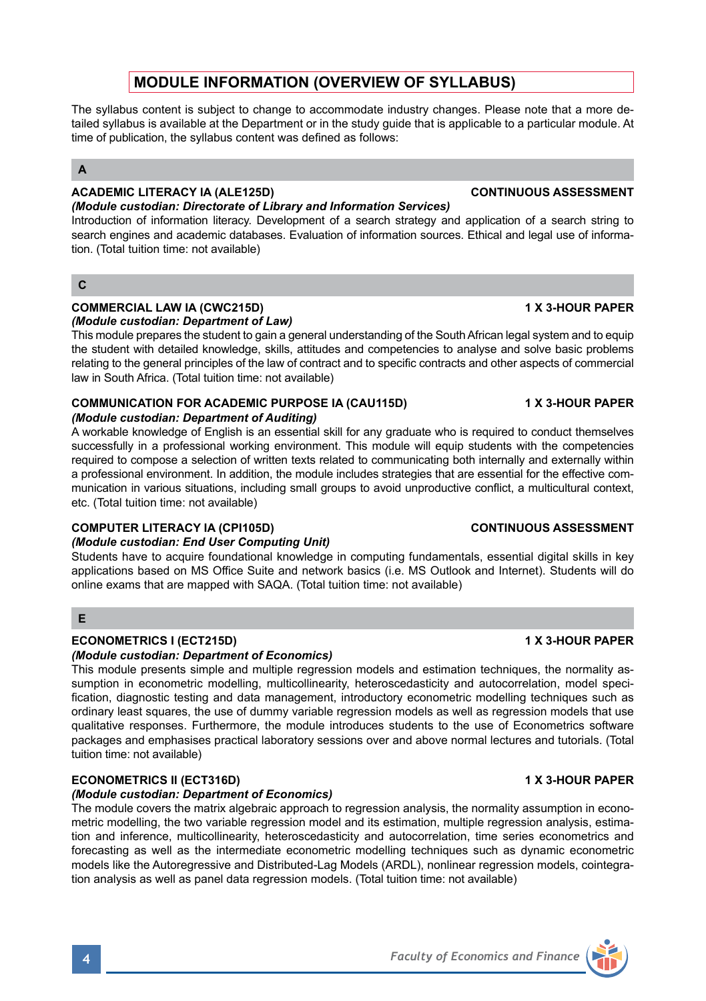# **MODULE INFORMATION (OVERVIEW OF SYLLABUS)**

The syllabus content is subject to change to accommodate industry changes. Please note that a more detailed syllabus is available at the Department or in the study guide that is applicable to a particular module. At time of publication, the syllabus content was defined as follows:

## **A**

#### **ACADEMIC LITERACY IA (ALE125D) CONTINUOUS ASSESSMENT** *(Module custodian: Directorate of Library and Information Services)*

Introduction of information literacy. Development of a search strategy and application of a search string to search engines and academic databases. Evaluation of information sources. Ethical and legal use of information. (Total tuition time: not available)

### $\mathbf{C}$

#### **COMMERCIAL LAW IA (CWC215D) 1 X 3-HOUR PAPER** *(Module custodian: Department of Law)*

This module prepares the student to gain a general understanding of the South African legal system and to equip the student with detailed knowledge, skills, attitudes and competencies to analyse and solve basic problems relating to the general principles of the law of contract and to specific contracts and other aspects of commercial law in South Africa. (Total tuition time: not available)

## **COMMUNICATION FOR ACADEMIC PURPOSE IA (CAU115D) 1 X 3-HOUR PAPER**

### *(Module custodian: Department of Auditing)*

A workable knowledge of English is an essential skill for any graduate who is required to conduct themselves successfully in a professional working environment. This module will equip students with the competencies required to compose a selection of written texts related to communicating both internally and externally within a professional environment. In addition, the module includes strategies that are essential for the effective communication in various situations, including small groups to avoid unproductive conflict, a multicultural context, etc. (Total tuition time: not available)

## **COMPUTER LITERACY IA (CPI105D) CONTINUOUS ASSESSMENT**

### *(Module custodian: End User Computing Unit)*

Students have to acquire foundational knowledge in computing fundamentals, essential digital skills in key applications based on MS Office Suite and network basics (i.e. MS Outlook and Internet). Students will do online exams that are mapped with SAQA. (Total tuition time: not available)

## **E**

## **ECONOMETRICS I (ECT215D) 1 X 3-HOUR PAPER**

## *(Module custodian: Department of Economics)*

This module presents simple and multiple regression models and estimation techniques, the normality assumption in econometric modelling, multicollinearity, heteroscedasticity and autocorrelation, model specification, diagnostic testing and data management, introductory econometric modelling techniques such as ordinary least squares, the use of dummy variable regression models as well as regression models that use qualitative responses. Furthermore, the module introduces students to the use of Econometrics software packages and emphasises practical laboratory sessions over and above normal lectures and tutorials. (Total tuition time: not available)

### **ECONOMETRICS II (ECT316D) 1 X 3-HOUR PAPER**

## *(Module custodian: Department of Economics)*

The module covers the matrix algebraic approach to regression analysis, the normality assumption in econometric modelling, the two variable regression model and its estimation, multiple regression analysis, estimation and inference, multicollinearity, heteroscedasticity and autocorrelation, time series econometrics and forecasting as well as the intermediate econometric modelling techniques such as dynamic econometric models like the Autoregressive and Distributed-Lag Models (ARDL), nonlinear regression models, cointegration analysis as well as panel data regression models. (Total tuition time: not available)

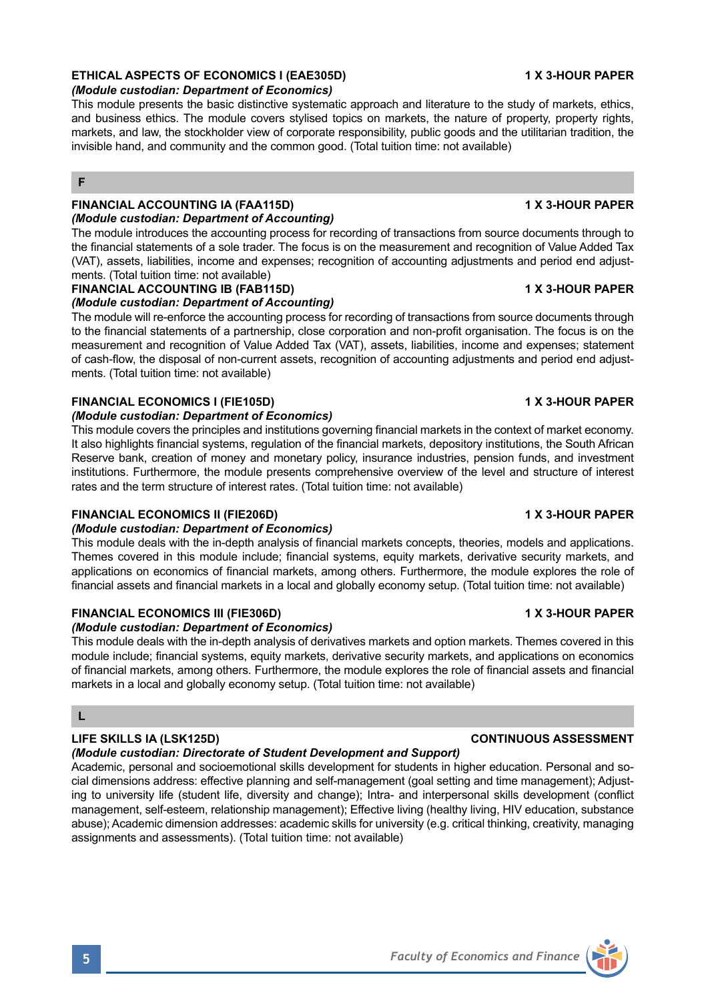## **ETHICAL ASPECTS OF ECONOMICS I (EAE305D) 1 X 3-HOUR PAPER**

### *(Module custodian: Department of Economics)*

This module presents the basic distinctive systematic approach and literature to the study of markets, ethics, and business ethics. The module covers stylised topics on markets, the nature of property, property rights, markets, and law, the stockholder view of corporate responsibility, public goods and the utilitarian tradition, the invisible hand, and community and the common good. (Total tuition time: not available)

## **F**

# **FINANCIAL ACCOUNTING IA (FAA115D) 1 X 3-HOUR PAPER**

*(Module custodian: Department of Accounting)* The module introduces the accounting process for recording of transactions from source documents through to the financial statements of a sole trader. The focus is on the measurement and recognition of Value Added Tax (VAT), assets, liabilities, income and expenses; recognition of accounting adjustments and period end adjust-

# ments. (Total tuition time: not available)

## **FINANCIAL ACCOUNTING IB (FAB115D) 1 X 3-HOUR PAPER**

### *(Module custodian: Department of Accounting)*

The module will re-enforce the accounting process for recording of transactions from source documents through to the financial statements of a partnership, close corporation and non-profit organisation. The focus is on the measurement and recognition of Value Added Tax (VAT), assets, liabilities, income and expenses; statement of cash-flow, the disposal of non-current assets, recognition of accounting adjustments and period end adjustments. (Total tuition time: not available)

### **FINANCIAL ECONOMICS I (FIE105D) 1 X 3-HOUR PAPER**

### *(Module custodian: Department of Economics)*

This module covers the principles and institutions governing financial markets in the context of market economy. It also highlights financial systems, regulation of the financial markets, depository institutions, the South African Reserve bank, creation of money and monetary policy, insurance industries, pension funds, and investment institutions. Furthermore, the module presents comprehensive overview of the level and structure of interest rates and the term structure of interest rates. (Total tuition time: not available)

### **FINANCIAL ECONOMICS II (FIE206D) 1 X 3-HOUR PAPER**

### *(Module custodian: Department of Economics)*

This module deals with the in-depth analysis of financial markets concepts, theories, models and applications. Themes covered in this module include; financial systems, equity markets, derivative security markets, and applications on economics of financial markets, among others. Furthermore, the module explores the role of financial assets and financial markets in a local and globally economy setup. (Total tuition time: not available)

## **FINANCIAL ECONOMICS III (FIE306D) 1 X 3-HOUR PAPER**

### *(Module custodian: Department of Economics)*

This module deals with the in-depth analysis of derivatives markets and option markets. Themes covered in this module include; financial systems, equity markets, derivative security markets, and applications on economics of financial markets, among others. Furthermore, the module explores the role of financial assets and financial markets in a local and globally economy setup. (Total tuition time: not available)

## **L**

# *(Module custodian: Directorate of Student Development and Support)*

Academic, personal and socioemotional skills development for students in higher education. Personal and social dimensions address: effective planning and self-management (goal setting and time management); Adjusting to university life (student life, diversity and change); Intra- and interpersonal skills development (conflict management, self-esteem, relationship management); Effective living (healthy living, HIV education, substance abuse); Academic dimension addresses: academic skills for university (e.g. critical thinking, creativity, managing assignments and assessments). (Total tuition time: not available)

### **LIFE SKILLS IA (LSK125D) CONTINUOUS ASSESSMENT**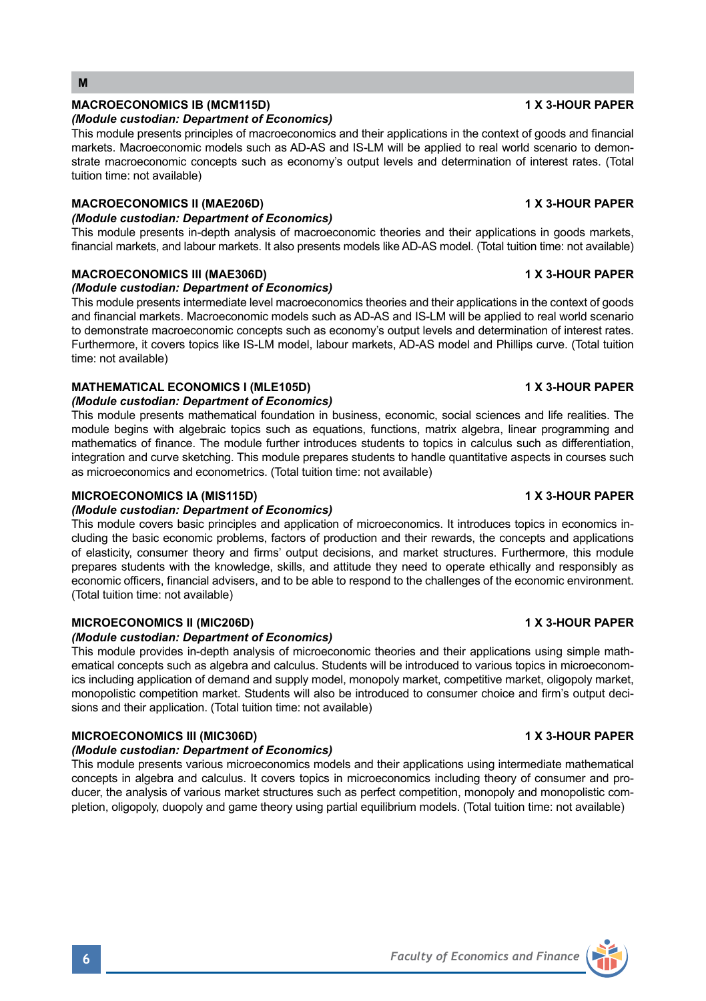## MACROECONOMICS IB (MCM115D) **1 X 3-HOUR PAPER**

## *(Module custodian: Department of Economics)*

This module presents principles of macroeconomics and their applications in the context of goods and financial markets. Macroeconomic models such as AD-AS and IS-LM will be applied to real world scenario to demonstrate macroeconomic concepts such as economy's output levels and determination of interest rates. (Total tuition time: not available)

## **MACROECONOMICS II (MAE206D) 1 X 3-HOUR PAPER**

## *(Module custodian: Department of Economics)*

This module presents in-depth analysis of macroeconomic theories and their applications in goods markets, financial markets, and labour markets. It also presents models like AD-AS model. (Total tuition time: not available)

# **MACROECONOMICS III (MAE306D)** 1 X 3-HOUR PAPER

## *(Module custodian: Department of Economics)*

This module presents intermediate level macroeconomics theories and their applications in the context of goods and financial markets. Macroeconomic models such as AD-AS and IS-LM will be applied to real world scenario to demonstrate macroeconomic concepts such as economy's output levels and determination of interest rates. Furthermore, it covers topics like IS-LM model, labour markets, AD-AS model and Phillips curve. (Total tuition time: not available)

# **MATHEMATICAL ECONOMICS I (MLE105D) 1 X 3-HOUR PAPER**

## *(Module custodian: Department of Economics)*

This module presents mathematical foundation in business, economic, social sciences and life realities. The module begins with algebraic topics such as equations, functions, matrix algebra, linear programming and mathematics of finance. The module further introduces students to topics in calculus such as differentiation, integration and curve sketching. This module prepares students to handle quantitative aspects in courses such as microeconomics and econometrics. (Total tuition time: not available)

## MICROECONOMICS IA (MIS115D) **1 X 3-HOUR PAPER**

## *(Module custodian: Department of Economics)*

This module covers basic principles and application of microeconomics. It introduces topics in economics including the basic economic problems, factors of production and their rewards, the concepts and applications of elasticity, consumer theory and firms' output decisions, and market structures. Furthermore, this module prepares students with the knowledge, skills, and attitude they need to operate ethically and responsibly as economic officers, financial advisers, and to be able to respond to the challenges of the economic environment. (Total tuition time: not available)

# **MICROECONOMICS II (MIC206D) 1 X 3-HOUR PAPER**

## *(Module custodian: Department of Economics)*

This module provides in-depth analysis of microeconomic theories and their applications using simple mathematical concepts such as algebra and calculus. Students will be introduced to various topics in microeconomics including application of demand and supply model, monopoly market, competitive market, oligopoly market, monopolistic competition market. Students will also be introduced to consumer choice and firm's output decisions and their application. (Total tuition time: not available)

# **MICROECONOMICS III (MIC306D) 1 X 3-HOUR PAPER**

## *(Module custodian: Department of Economics)*

This module presents various microeconomics models and their applications using intermediate mathematical concepts in algebra and calculus. It covers topics in microeconomics including theory of consumer and producer, the analysis of various market structures such as perfect competition, monopoly and monopolistic completion, oligopoly, duopoly and game theory using partial equilibrium models. (Total tuition time: not available)